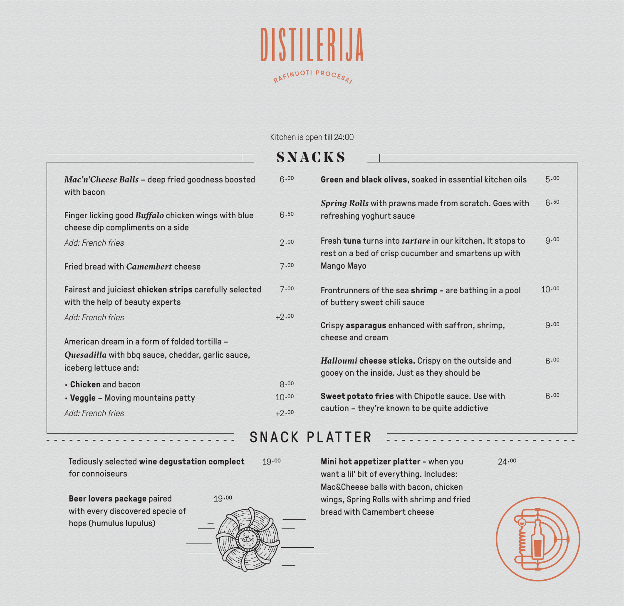

Kitchen is open till 24:00

|                                                                                                | <b>SNACKS</b> |                                                                                                                   |       |
|------------------------------------------------------------------------------------------------|---------------|-------------------------------------------------------------------------------------------------------------------|-------|
| Mac'n'Cheese Balls - deep fried goodness boosted<br>with bacon                                 | 6.00          | Green and black olives, soaked in essential kitchen oils                                                          | 5.00  |
| Finger licking good <i>Buffalo</i> chicken wings with blue<br>cheese dip compliments on a side | 6.50          | Spring Rolls with prawns made from scratch. Goes with<br>refreshing yoghurt sauce                                 | 6.50  |
| Add: French fries                                                                              | 2.00          | Fresh tuna turns into tartare in our kitchen. It stops to<br>rest on a bed of crisp cucumber and smartens up with | 9.00  |
| Fried bread with Camembert cheese                                                              | 7.00          | Mango Mayo                                                                                                        |       |
| Fairest and juiciest chicken strips carefully selected<br>with the help of beauty experts      | 7.00          | Frontrunners of the sea shrimp - are bathing in a pool<br>of buttery sweet chili sauce                            | 10.00 |
| Add: French fries                                                                              | $+2.00$       | Crispy asparagus enhanced with saffron, shrimp,<br>cheese and cream                                               | 9.00  |
| American dream in a form of folded tortilla -                                                  |               |                                                                                                                   |       |
| Quesadilla with bbq sauce, cheddar, garlic sauce,<br>iceberg lettuce and:                      |               | Halloumi cheese sticks. Crispy on the outside and<br>gooey on the inside. Just as they should be                  | 6.00  |
| • Chicken and bacon                                                                            | 8.00          |                                                                                                                   |       |
| • Veggie - Moving mountains patty                                                              | 10.00         | Sweet potato fries with Chipotle sauce. Use with                                                                  | 6.00  |
| Add: French fries                                                                              | $+2.00$       | caution - they're known to be quite addictive                                                                     |       |
|                                                                                                |               |                                                                                                                   |       |

### SNACK PLATTER

Tediously selected **wine degustation complect**  19.00 for connoiseurs

**Beer lovers package** paired with every discovered specie of hops (humulus lupulus)



**Mini hot appetizer platter** - when you want a lil' bit of everything. Includes: Mac&Cheese balls with bacon, chicken wings, Spring Rolls with shrimp and fried bread with Camembert cheese

 $24.00$ 

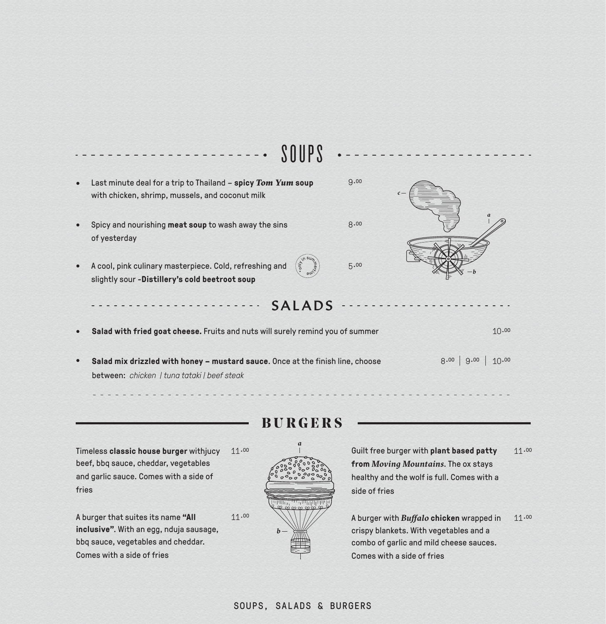|           | SOUPS                                                                                                                         |      |                       |
|-----------|-------------------------------------------------------------------------------------------------------------------------------|------|-----------------------|
| $\bullet$ | Last minute deal for a trip to Thailand - spicy Tom Yum soup<br>with chicken, shrimp, mussels, and coconut milk               | 9.00 | $\mathcal{C}$         |
|           | Spicy and nourishing meat soup to wash away the sins<br>of yesterday                                                          | 8.00 |                       |
| $\bullet$ | TILO.<br>A cool, pink culinary masterpiece. Cold, refreshing and<br>slightly sour -Distillery's cold beetroot soup            | 5.00 |                       |
|           | <b>SALADS</b>                                                                                                                 |      |                       |
|           | Salad with fried goat cheese. Fruits and nuts will surely remind you of summer                                                |      | 10.00                 |
|           | Salad mix drizzled with honey - mustard sauce. Once at the finish line, choose<br>between: chicken I tung tataki I beef steak |      | 8.00<br>9.00<br>10.00 |

**BURGERS**

÷.  $\overline{a}$ 

Timeless classic house burger withjucy 11.00 beef, bbq sauce, cheddar, vegetables and garlic sauce. Comes with a side of fries

A burger that suites its name **"All inclusive"**. With an egg, nduja sausage, bbq sauce, vegetables and cheddar. Comes with a side of fries



11.00

Guilt free burger with **plant based patty from** *Moving Mountains*. The ox stays healthy and the wolf is full. Comes with a side of fries 11.00

A burger with *Buffalo* **chicken** wrapped in crispy blankets. With vegetables and a combo of garlic and mild cheese sauces. Comes with a side of fries 11.00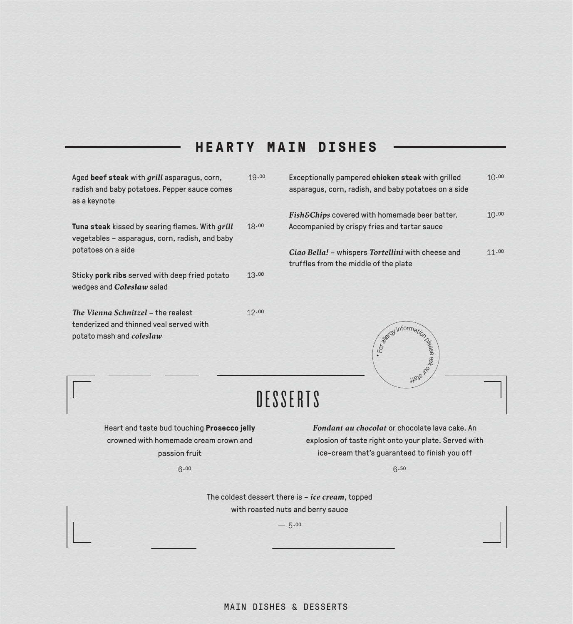## **HEARTY MAIN DISHES**

Aged **beef steak** with *grill* asparagus, corn, radish and baby potatoes. Pepper sauce comes as a keynote 19.00

**Tuna steak** kissed by searing flames. With *grill* vegetables – asparagus, corn, radish, and baby potatoes on a side 18.00

Sticky **pork ribs** served with deep fried potato wedges and *Coleslaw* salad 13 0O

*The Vienna Schnitzel* – the realest tenderized and thinned veal served with potato mash and *coleslaw*

| Exceptionally pampered chicken steak with grilled<br>asparagus, corn, radish, and baby potatoes on a side | 10.00 |
|-----------------------------------------------------------------------------------------------------------|-------|
| Fish&Chips covered with homemade beer batter.<br>Accompanied by crispy fries and tartar sauce             | 10.00 |
| Ciao Bella! – whispers Tortellini with cheese and<br>truffles from the middle of the plate                | 11.00 |



12 0O

Heart and taste bud touching **Prosecco jelly** crowned with homemade cream crown and passion fruit

*Fondant au chocolat* or chocolate lava cake. An explosion of taste right onto your plate. Served with ice-cream that's guaranteed to finish you off

\*For

For all information

 $6.00 - 6.50$ 

The coldest dessert there is – *ice cream*, topped with roasted nuts and berry sauce

 $-5.00$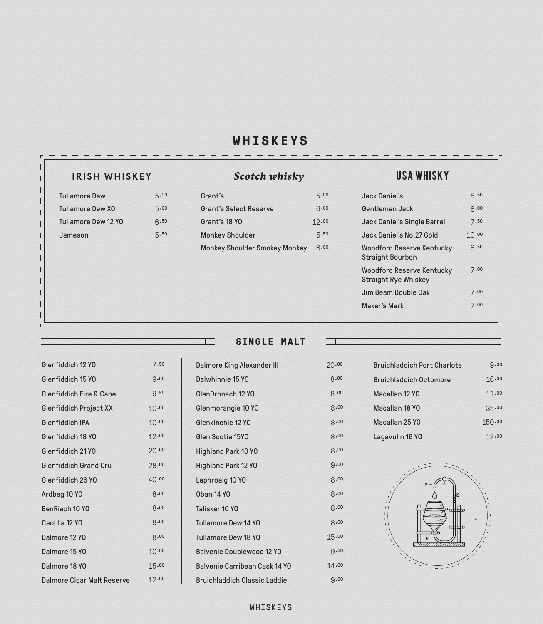# **WHISKEYS**

## **IRISH WHISKEY** *Scotch whisky* USA WHISKY

| <b>Tullamore Dew</b>       | 5.00 |
|----------------------------|------|
| <b>Tullamore Dew XO</b>    | 5.00 |
| <b>Tullamore Dew 12 YO</b> | 6.50 |
| Jameson                    | 5.50 |

| Grant's                       | 5.00  |
|-------------------------------|-------|
| <b>Grant's Select Reserve</b> | 6.00  |
| Grant's 18 YO                 | 12.00 |
| <b>Monkey Shoulder</b>        | 5.50  |
| Monkey Shoulder Smokey Monkey | 6.00  |

| Jack Daniel's                                                   | 5.50  |
|-----------------------------------------------------------------|-------|
| Gentleman Jack                                                  | 6.00  |
| Jack Daniel's Single Barrel                                     | 7.50  |
| Jack Daniel's No.27 Gold                                        | 10.00 |
| Woodford Reserve Kentucky<br>Straight Bourbon                   | 6.50  |
| <b>Woodford Reserve Kentucky</b><br><b>Straight Rye Whiskey</b> | 7.00  |
| Jim Beam Double Oak                                             | 7.00  |
| Maker's Mark                                                    | 7.00  |
|                                                                 |       |

| Glenfiddich 12 YO                  | 7.50  |
|------------------------------------|-------|
| Glenfiddich 15 YO                  | 9.00  |
| <b>Glenfiddich Fire &amp; Cane</b> | 9.50  |
| Glenfiddich Project XX             | 10.00 |
| Glenfiddich IPA                    | 10.00 |
| Glenfiddich 18 YO                  | 12.00 |
| Glenfiddich 21 YO                  | 20.00 |
| Glenfiddich Grand Cru              | 28.00 |
| Glenfiddich 26 YO                  | 40.00 |
| Ardbeg 10 YO                       | 8.00  |
| BenRiach 10 YO                     | 8.00  |
| Caol IIa 12 YO                     | 8.00  |
| Dalmore 12 YO                      | 8.00  |
| Dalmore 15 YO                      | 10.00 |
| Dalmore 18 YO                      | 15.00 |
| Dalmore Cigar Malt Reserve         | 12.00 |

**SINGLE MALT**

| Dalmore King Alexander III    | 20.00 |
|-------------------------------|-------|
| Dalwhinnie 15 YO              | 8.00  |
| GlenDronach 12 YO             | 8.00  |
| Glenmorangie 10 YO            | 8.00  |
| Glenkinchie 12 YO             | 8.00  |
| Glen Scotia 15YO              | 8.00  |
| Highland Park 10 YO           | 8.00  |
| Highland Park 12 YO           | 9.00  |
| Laphroaig 10 YO               | 8.00  |
| <b>Oban 14 YO</b>             | 8.00  |
| Talisker 10 YO                | 8.00  |
| Tullamore Dew 14 YO           | 8.00  |
| Tullamore Dew 18 YO           | 15.00 |
| Balvenie Doublewood 12 YO     | 9.00  |
| Balvenie Carribean Cask 14 YO | 14.00 |
| Bruichladdich Classic Laddie  | 9.00  |
|                               |       |

| <b>Bruichladdich Port Charlote</b> | Q.00   |
|------------------------------------|--------|
| <b>Bruichladdich Octomore</b>      | 16.00  |
| Macallan 12 YO                     | 11.00  |
| Macallan 18 YO                     | 35.00  |
| Macallan 25 YO                     | 150.00 |
| Lagavulin 16 YO                    | 12.00  |



#### WHISKEYS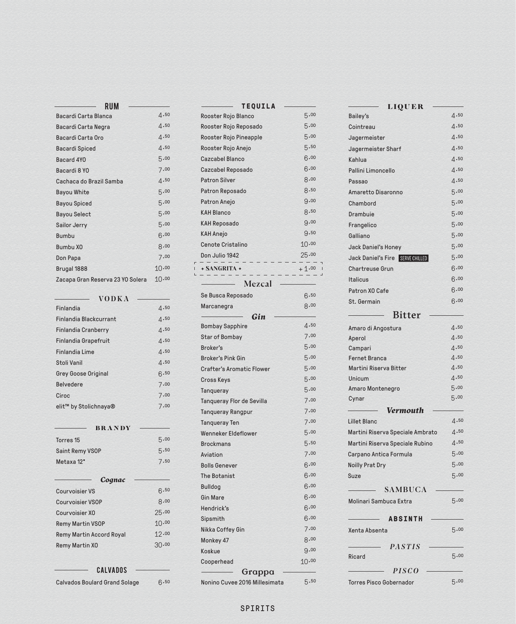| Bacardi Carta Blanca             | 4.50  |
|----------------------------------|-------|
| Bacardi Carta Negra              | 4.50  |
| Bacardi Carta Oro                | 4.50  |
| <b>Bacardi Spiced</b>            | 4.50  |
| Bacard 4YO                       | 5.00  |
| Bacardi 8 YO                     | 7.00  |
| Cachaca do Brazil Samba          | 4.50  |
| <b>Bayou White</b>               | 5.00  |
| <b>Bayou Spiced</b>              | 5.00  |
| <b>Bayou Select</b>              | 5.00  |
| Sailor Jerry                     | 5.00  |
| <b>Bumbu</b>                     | 6.00  |
| Bumbu X <sub>0</sub>             | 8.00  |
| Don Papa                         | 7.00  |
| Brugal 1888                      | 10.00 |
| Zacapa Gran Reserva 23 YO Solera | 10.00 |

| <b>VODKA</b>               |              |
|----------------------------|--------------|
| Finlandia                  | 4.50         |
| Finlandia Blackcurrant     | $\Delta$ .50 |
| <b>Finlandia Cranberry</b> | 4.50         |
| Finlandia Grapefruit       | 4.50         |
| <b>Finlandia Lime</b>      | 4.50         |
| Stoli Vanil                | $\Delta$ .50 |
| <b>Grey Goose Original</b> | 6.50         |
| <b>Belvedere</b>           | 7.00         |
| Ciroc                      | 7.00         |
| elit™ by Stolichnaya®      | 7.00         |

| <b>BRANDY</b>                        |       |
|--------------------------------------|-------|
| Torres <sub>15</sub>                 | 5.00  |
| Saint Remy VSOP                      | 5.50  |
| Metaxa 12*                           | 7.50  |
| Cognac                               |       |
| <b>Courvoisier VS</b>                | 6.50  |
| <b>Courvoisier VSOP</b>              | 8.00  |
| Courvoisier XO                       | 25.00 |
| <b>Remy Martin VSOP</b>              | 10.00 |
| <b>Remy Martin Accord Royal</b>      | 12.00 |
| Remy Martin XO                       | 30.00 |
| CALVADOS                             |       |
| <b>Calvados Boulard Grand Solage</b> | 6.50  |

Calvados Boulard Grand Solage

| TEQUILA                          |         |
|----------------------------------|---------|
| Rooster Rojo Blanco              | 5.00    |
| Rooster Rojo Reposado            | 5.00    |
| Rooster Rojo Pineapple           | 5.00    |
| Rooster Rojo Anejo               | 5.50    |
| Cazcabel Blanco                  | 6.00    |
| Cazcabel Reposado                | 6.00    |
| <b>Patron Silver</b>             | 8.00    |
| Patron Reposado                  | 8.50    |
| Patron Anejo                     | 9.00    |
| <b>KAH Blanco</b>                | 8.50    |
| <b>KAH Reposado</b>              | 9.00    |
| <b>KAH Anejo</b>                 | 9.50    |
| Cenote Cristalino                | 10.00   |
| Don Julio 1942                   | 25.00   |
|                                  |         |
| <b>+ SANGRITA +</b>              | $+1.00$ |
| Mezcal                           |         |
| Se Busca Reposado                | 6.50    |
| Marcanegra                       | 8.00    |
| Gin                              |         |
| <b>Bombay Sapphire</b>           | 4.50    |
| <b>Star of Bombay</b>            | 7.00    |
| Broker's                         | 5.00    |
| <b>Broker's Pink Gin</b>         | 5.00    |
| <b>Crafter's Aromatic Flower</b> | 5.00    |
| Cross Keys                       | 5.00    |
| Tanqueray                        | 5.00    |
| Tanqueray Flor de Sevilla        | 7.00    |
| <b>Tanqueray Rangpur</b>         | 7.00    |
| <b>Tanqueray Ten</b>             | 7.00    |
| Wenneker Eldeflower              | 5.00    |
| <b>Brockmans</b>                 | 5.50    |
| Aviation                         | 7.00    |
| <b>Bolls Genever</b>             | 6.00    |
| <b>The Botanist</b>              | 6.00    |
| <b>Bulldog</b>                   | 6.00    |
| <b>Gin Mare</b>                  | 6.00    |
| Hendrick's                       | 6.00    |
| Sipsmith                         | 6.00    |
| Nikka Coffey Gin                 | 7.00    |
| Monkey 47                        | 8.00    |
| Koskue                           | 9.00    |
| Cooperhead                       | 10.00   |
|                                  |         |

| <b>LIQUER</b>                    |              |
|----------------------------------|--------------|
| Bailey's                         | 4.50         |
| Cointreau                        | 4.50         |
| Jagermeister                     | 4.50         |
| Jagermeister Sharf               | 4.50         |
| Kahlua                           | 4.50         |
| Pallini Limoncello               | 4.50         |
| Passao                           | 4.50         |
| Amaretto Disaronno               | 5.00         |
| Chambord                         | 5.00         |
| Drambuie                         | 5.00         |
| Frangelico                       | 5.00         |
| Galliano                         | 5.00         |
| Jack Daniel's Honey              | 5.00         |
| Jack Daniel's Fire SERVE CHILLED | 5.00         |
| <b>Chartreuse Grun</b>           | 6.00         |
| Italicus                         | 6.00         |
| Patron XO Cafe                   | 6.00         |
| St. Germain                      | 6.00         |
|                                  |              |
| Bitter                           |              |
| Amaro di Angostura               | 4.50         |
| Aperol                           | 4.50         |
| Campari                          | 4.50         |
| <b>Fernet Branca</b>             | 4.50         |
| Martini Riserva Bitter           | 4.50         |
| Unicum                           | 4.50         |
| Amaro Montenegro                 | 5.00<br>5.00 |
| Cynar                            |              |
| Vermouth                         |              |
| <b>Lillet Blanc</b>              | 4.50         |
| Martini Riserva Speciale Ambrato | 4.50         |
| Martini Riserva Speciale Rubino  | 4.50         |
| Carpano Antica Formula           | 5.00         |
| <b>Noilly Prat Dry</b>           | 5.00         |
| <b>Suze</b>                      | 5.00         |
| <b>SAMBUCA</b>                   |              |
| Molinari Sambuca Extra           | 5.00         |
| <b>ABSINTH</b>                   |              |
| Xenta Absenta                    | 5.00         |
| <b>PASTIS</b>                    |              |
| Ricard                           | 5.00         |
| PISCO                            |              |
| <b>Torres Pisco Gobernador</b>   | 5.00         |
|                                  |              |

#### SPIRITS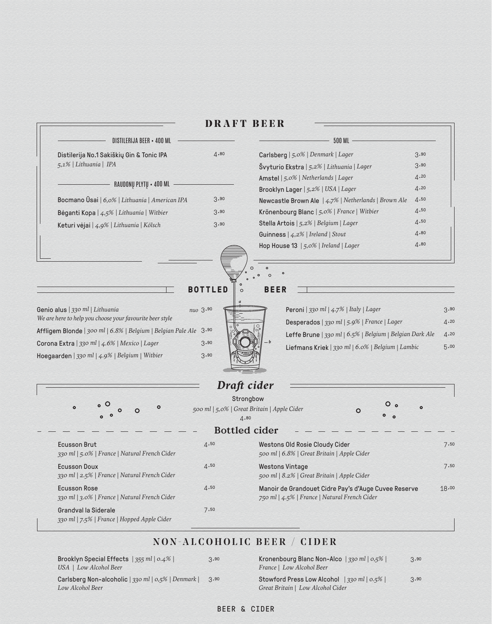| DISTILERIJA BEER • 400 ML                                                                                                                                        |                                                                  | <b>500 ML</b>                                                                                                   |              |
|------------------------------------------------------------------------------------------------------------------------------------------------------------------|------------------------------------------------------------------|-----------------------------------------------------------------------------------------------------------------|--------------|
| Distilerija No.1 Sakiškių Gin & Tonic IPA                                                                                                                        | 4.80                                                             | Carlsberg   5,0%   Denmark   Lager                                                                              | 3.90         |
| 5,1%   Lithuania   IPA                                                                                                                                           |                                                                  | Švyturio Ekstra   5,2%   Lithuania   Lager                                                                      | 3.90         |
|                                                                                                                                                                  |                                                                  | Amstel   5,0%   Netherlands   Lager                                                                             | 4.20         |
| RAUDONŲ PLYTŲ • 400 ML                                                                                                                                           |                                                                  | Brooklyn Lager   5,2%   USA   Lager                                                                             | 4.20         |
| Bocmano Ūsai   6,0%   Lithuania   American IPA                                                                                                                   | 3.90                                                             | Newcastle Brown Ale   4,7%   Netherlands   Brown Ale                                                            | 4.50         |
| Bėganti Kopa   4,5%   Lithuania   Witbier                                                                                                                        | 3.90                                                             | Krönenbourg Blanc   5,0%   France   Witbier                                                                     | 4.50         |
| Keturi vėjai   4,9%   Lithuania   Kölsch                                                                                                                         | 3.90                                                             | Stella Artois   5,2%   Belgium   Lager                                                                          | 4.50         |
|                                                                                                                                                                  |                                                                  | Guinness   4,2%   Ireland   Stout                                                                               | 4.80         |
|                                                                                                                                                                  |                                                                  | Hop House 13   5,0%   Ireland   Lager<br>$\Omega$                                                               | 4.80         |
| Genio alus   330 ml   Lithuania<br>We are here to help you choose your favourite beer style<br>Affligem Blonde   300 ml   6.8%   Belgium   Belgian Pale Ale 3.90 | <b>BOTTLED</b><br>$\circ$<br>nuo 3.90                            | $\circ$<br><b>BEER</b><br>Peroni   330 ml   4.7%   Italy   Lager<br>Desperados   330 ml   5.9%   France   Lager | 3.90<br>4.20 |
| Corona Extra   330 ml   4.6%   Mexico   Lager<br>Hoegaarden   330 ml   4.9%   Belgium   Witbier                                                                  | 3.90<br>3.90                                                     | Leffe Brune   330 ml   6.5%   Belgium   Belgian Dark Ale<br>Liefmans Kriek   330 ml   6.0%   Belgium   Lambic   | 4.20<br>5.00 |
|                                                                                                                                                                  | Draft cider                                                      |                                                                                                                 |              |
| $\circ$                                                                                                                                                          | Strongbow<br>500 ml   5,0%   Great Britain   Apple Cider<br>4.80 | $\circ$                                                                                                         | $\circ$      |
|                                                                                                                                                                  | <b>Bottled</b> cider                                             |                                                                                                                 |              |
| <b>Ecusson Brut</b><br>330 ml   5.0%   France   Natural French Cider                                                                                             | 4.50                                                             | Westons Old Rosie Cloudy Cider<br>500 ml   6.8%   Great Britain   Apple Cider                                   | 7.50         |
| <b>Ecusson Doux</b><br>330 ml   2.5%   France   Natural French Cider                                                                                             | 4.50                                                             | <b>Westons Vintage</b><br>500 ml   8.2%   Great Britain   Apple Cider                                           | 7.50         |
| <b>Ecusson Rose</b><br>330 ml   3.0%   France   Natural French Cider                                                                                             | 4.50                                                             | Manoir de Grandouet Cidre Pay's d'Auge Cuvee Reserve<br>750 ml   4.5%   France   Natural French Cider           | 18.00        |
| Grandval la Siderale                                                                                                                                             | 7.50                                                             |                                                                                                                 |              |

### **DRAFT BEER**

NON-ALCOHOLIC BEER / CIDER 3.90

Brooklyn Special Effects | *355 ml* | *0.4%* | *USA* | *Low Alcohol Beer*

*330 ml* | *7.5%* | *France* | *Hopped Apple Cider*

Carlsberg Non-alcoholic | *330 ml* | *0,5 %* | *Denmark* | 3 <sup>90</sup> *Low Alcohol Beer*

#### Kronenbourg Blanc Non-Alco | *330 ml* | *0,5 %* | *France* | *Low Alcohol Beer* Stowford Press Low Alcohol | *330 ml* | *0.5%* | *Great Britain* | *Low Alcohol Cider* 3.90  $3.90$

#### BEER & CIDER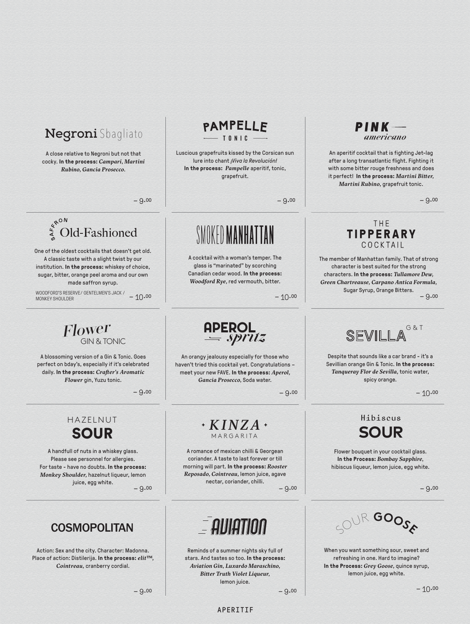# **Negroni** Sbagliato

A close relative to Negroni but not that cocky. **In the process:** *Campari*, *Martini Rubino, Gancia Prosecco*.

 $-9.00$   $-9.00$ 

# $\int_{\frac{4}{9}}^{\frac{4}{9}}$  Old-Fashioned

One of the oldest cocktails that doesn't get old. A classic taste with a slight twist by our institution. **In the process:** whiskey of choice, sugar, bitter, orange peel aroma and our own made saffron syrup.

– 10 0O – 10 0O WOODFORD'S RESERVE/ GENTELMEN'S JACK / MONKEY SHOULDER

GIN & TONIC Flower

A blossoming version of a Gin & Tonic. Goes perfect on bday's, especially if it's celebrated daily. **In the process:** *Crafter's Aromatic Flower* gin, Yuzu tonic.

 $-9.00$ 

# HAZELNUT

A handfull of nuts in a whiskey glass. Please see personnel for allergies. For taste - have no doubts. **In the process:** *Monkey Shoulder,* hazelnut liqueur, lemon juice, egg white.

# **COSMOPOLITAN**

Action: Sex and the city. Character: Madonna. Place of action: Distilerija. **In the process:** *elit™, Cointreau,* cranberry cordial.

# $\begin{array}{c}\n \text{APEROL} \\
= \text{spritz}\n \end{array}$

A cocktail with a woman's temper. The glass is "marinated" by scorching Canadian cedar wood. **In the process:** *Woodford Rye*, red vermouth, bitter.

SMOKED MANHATTAN

Luscious grapefruits kissed by the Corsican sun lure into chant *¡Viva la Revolución!* **In the process:** *Pampelle* aperitif, tonic, grapefruit.

PAMPELLE  $-$  TONIC -

An orangy jealousy especially for those who haven't tried this cocktail yet. Congratulations – meet your new FAVE. **In the process:** *Aperol, Gancia Prosecco*, Soda water.

 $-9.00$ 

# **SOUR** EXINZA

A romance of mexican chilli & Georgean coriander. A taste to last forever or till morning will part. **In the process:** *Rooster Reposado, Cointreau,* lemon juice, agave nectar, coriander, chilli.

 $-9.00$   $-9.00$ 



Reminds of a summer nights sky full of stars. And tastes so too. **In the process:** *Aviation Gin, Luxardo Maraschino, Bitter Truth Violet Liqueur*, lemon juice.



An aperitif cocktail that is fighting Jet-lag after a long transatlantic flight. Fighting it with some bitter rouge freshness and does it perfect! **In the process:** *Martini Bitter, Martini Rubino,* grapefruit tonic.

#### THE **TIPPERARY** COCKTAIL

 $-9.00$ The member of Manhattan family. That of strong character is best suited for the strong characters. **In the process:** *Tullamore Dew, Green Chartreause, Carpano Antica Formula,*  Sugar Syrup, Orange Bitters.

G & T **SEVILLA** 

Despite that sounds like a car brand - it's a Sevillian orange Gin & Tonic. **In the process:**  *Tanqueray Flor de Sevilla,* tonic water, spicy orange.

 $-10.00$ 

## **SOUR** Hibiscus

Flower bouquet in your cocktail glass. **In the Process:** *Bombay Sapphire*, hibiscus liqueur, lemon juice, egg white.



When you want something sour, sweet and refreshing in one. Hard to imagine? **In the Process:** *Grey Goose,* quince syrup, lemon juice, egg white.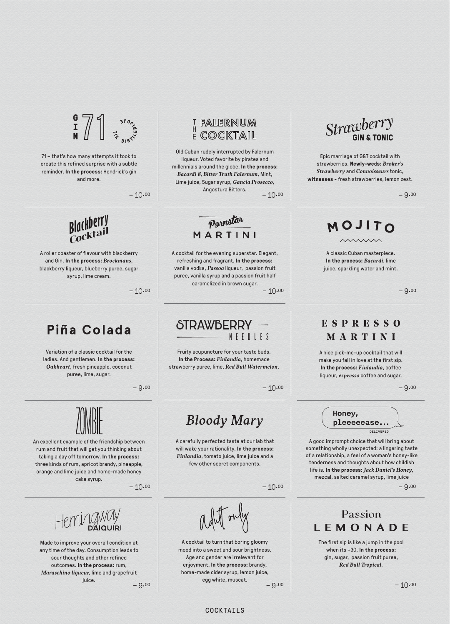$\frac{1}{N}$ 

71 – that's how many attempts it took to create this refined surprise with a subtle reminder. **In the process:** Hendrick's gin and more.

 $-10.00$ 

# **Blackberry** Cocktail

A roller coaster of flavour with blackberry and Gin. **In the process:** *Brockmans,* blackberry liqueur, blueberry puree, sugar syrup, lime cream.

# Piña Colada

Variation of a classic cocktail for the ladies. And gentlemen. **In the process:** *Oakheart*, fresh pineapple, coconut puree, lime, sugar.

An excellent example of the friendship between rum and fruit that will get you thinking about taking a day off tomorrow. **In the process:** three kinds of rum, apricot brandy, pineapple, orange and lime juice and home-made honey cake syrup.

 $-10.00$ 



Made to improve your overall condition at any time of the day. Consumption leads to sour thoughts and other refined outcomes. **In the process:** rum, *Maraschino liqueur*, lime and grapefruit juice.

## FALERNUM F COCKTAIL

 $-10.00$ Old Cuban rudely interrupted by Falernum liqueur. Voted favorite by pirates and millennials around the globe. **In the process**: *Bacardi 8, Bitter Truth Falernum,* Mint, Lime juice, Sugar syrup, *Gancia Prosecco*, Angostura Bitters.

Pornstar MARTINI

A cocktail for the evening superstar. Elegant, refreshing and fragrant. **In the process:** vanilla vodka, *Passoa* liqueur, passion fruit puree, vanilla syrup and a passion fruit half caramelized in brown sugar.

 $-10.00$  –  $10.00$ 

# STRAWBERRY

NEEDLES

Fruity acupuncture for your taste buds. **In the Process:** *Finlandia,* homemade strawberry puree*,* lime, *Red Bull Watermelon.*

 $-9.00$  – 9.00

# **Bloody Mary**

A carefully perfected taste at our lab that will wake your rationality. **In the process:** *Finlandia*, tomato juice, lime juice and a few other secret components.

 $-10.00$  – 9.00

 $-9.00$  – 9.00 A cocktail to turn that boring gloomy mood into a sweet and sour brightness. Age and gender are irrelevant for enjoyment. **In the process:** brandy, home-made cider syrup, lemon juice, egg white, muscat.

Strawberry **GIN & TONIC** 

Epic marriage of G&T cocktail with strawberries. **Newly-weds:** *Broker's Strawberry* and *Connoisseurs* tonic, **witnesses** - fresh strawberries, lemon zest.

 $-9.00$ 

# MOJITO

A classic Cuban masterpiece. **In the process:** *Bacardi*, lime juice, sparkling water and mint.

 $-9.00$ 

# **ESPRESSO** MARTINI

A nice pick-me-up cocktail that will make you fall in love at the first sip. **In the process:** *Finlandia*, coffee liqueur, *espresso* coffee and sugar.



A good imprompt choice that will bring about something wholly unexpected: a lingering taste of a relationship, a feel of a woman's honey-like tenderness and thoughts about how childish life is. **In the process:** *Jack Daniel's Honey*, mezcal, salted caramel syrup, lime juice

Passion LEMONADE

The first sip is like a jump in the pool when its +30. **In the process:** gin, sugar, passion fruit puree, *Red Bull Tropical.*